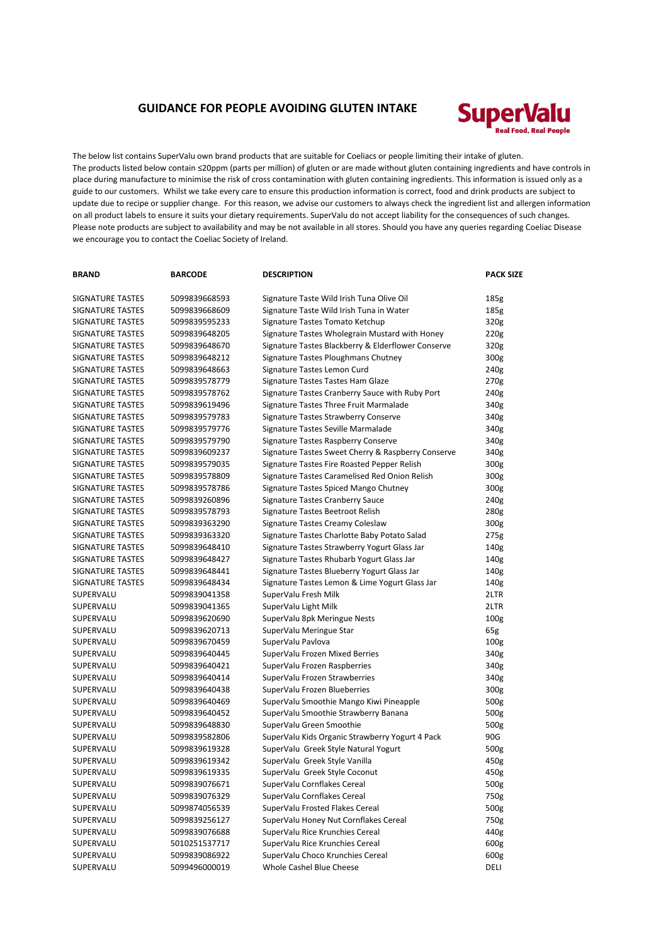## **GUIDANCE FOR PEOPLE AVOIDING GLUTEN INTAKE**



The below list contains SuperValu own brand products that are suitable for Coeliacs or people limiting their intake of gluten. The products listed below contain ≤20ppm (parts per million) of gluten or are made without gluten containing ingredients and have controls in place during manufacture to minimise the risk of cross contamination with gluten containing ingredients. This information is issued only as a guide to our customers. Whilst we take every care to ensure this production information is correct, food and drink products are subject to update due to recipe or supplier change. For this reason, we advise our customers to always check the ingredient list and allergen information on all product labels to ensure it suits your dietary requirements. SuperValu do not accept liability for the consequences of such changes. Please note products are subject to availability and may be not available in all stores. Should you have any queries regarding Coeliac Disease we encourage you to contact the Coeliac Society of Ireland.

| <b>BRAND</b>            | <b>BARCODE</b> | <b>DESCRIPTION</b>                                 | <b>PACK SIZE</b> |
|-------------------------|----------------|----------------------------------------------------|------------------|
| SIGNATURE TASTES        | 5099839668593  | Signature Taste Wild Irish Tuna Olive Oil          | 185g             |
| SIGNATURE TASTES        | 5099839668609  | Signature Taste Wild Irish Tuna in Water           | 185g             |
| SIGNATURE TASTES        | 5099839595233  | Signature Tastes Tomato Ketchup                    | 320g             |
| <b>SIGNATURE TASTES</b> | 5099839648205  | Signature Tastes Wholegrain Mustard with Honey     | 220g             |
| <b>SIGNATURE TASTES</b> | 5099839648670  | Signature Tastes Blackberry & Elderflower Conserve | 320g             |
| <b>SIGNATURE TASTES</b> | 5099839648212  | Signature Tastes Ploughmans Chutney                | 300g             |
| <b>SIGNATURE TASTES</b> | 5099839648663  | Signature Tastes Lemon Curd                        | 240g             |
| <b>SIGNATURE TASTES</b> | 5099839578779  | Signature Tastes Tastes Ham Glaze                  | 270g             |
| <b>SIGNATURE TASTES</b> | 5099839578762  | Signature Tastes Cranberry Sauce with Ruby Port    | 240g             |
| <b>SIGNATURE TASTES</b> | 5099839619496  | Signature Tastes Three Fruit Marmalade             | 340g             |
| <b>SIGNATURE TASTES</b> | 5099839579783  | Signature Tastes Strawberry Conserve               | 340g             |
| <b>SIGNATURE TASTES</b> | 5099839579776  | Signature Tastes Seville Marmalade                 | 340g             |
| <b>SIGNATURE TASTES</b> | 5099839579790  | Signature Tastes Raspberry Conserve                | 340g             |
| <b>SIGNATURE TASTES</b> | 5099839609237  | Signature Tastes Sweet Cherry & Raspberry Conserve | 340g             |
| <b>SIGNATURE TASTES</b> | 5099839579035  | Signature Tastes Fire Roasted Pepper Relish        | 300g             |
| <b>SIGNATURE TASTES</b> | 5099839578809  | Signature Tastes Caramelised Red Onion Relish      | 300g             |
| <b>SIGNATURE TASTES</b> | 5099839578786  | Signature Tastes Spiced Mango Chutney              | 300g             |
| SIGNATURE TASTES        | 5099839260896  | <b>Signature Tastes Cranberry Sauce</b>            | 240g             |
| SIGNATURE TASTES        | 5099839578793  | Signature Tastes Beetroot Relish                   | 280g             |
| <b>SIGNATURE TASTES</b> | 5099839363290  | Signature Tastes Creamy Coleslaw                   | 300g             |
| SIGNATURE TASTES        | 5099839363320  | Signature Tastes Charlotte Baby Potato Salad       | 275g             |
| SIGNATURE TASTES        | 5099839648410  | Signature Tastes Strawberry Yogurt Glass Jar       | 140g             |
| SIGNATURE TASTES        | 5099839648427  | Signature Tastes Rhubarb Yogurt Glass Jar          | 140g             |
| <b>SIGNATURE TASTES</b> | 5099839648441  | Signature Tastes Blueberry Yogurt Glass Jar        | 140g             |
| <b>SIGNATURE TASTES</b> | 5099839648434  | Signature Tastes Lemon & Lime Yogurt Glass Jar     | 140g             |
| SUPERVALU               | 5099839041358  | SuperValu Fresh Milk                               | 2LTR             |
| SUPERVALU               | 5099839041365  | SuperValu Light Milk                               | 2LTR             |
| SUPERVALU               | 5099839620690  | SuperValu 8pk Meringue Nests                       | 100 <sub>g</sub> |
| SUPERVALU               | 5099839620713  | SuperValu Meringue Star                            | 65g              |
| SUPERVALU               | 5099839670459  | SuperValu Pavlova                                  | 100 <sub>g</sub> |
| SUPERVALU               | 5099839640445  | SuperValu Frozen Mixed Berries                     | 340g             |
| SUPERVALU               | 5099839640421  | SuperValu Frozen Raspberries                       | 340g             |
| SUPERVALU               | 5099839640414  | SuperValu Frozen Strawberries                      | 340g             |
| SUPERVALU               | 5099839640438  | SuperValu Frozen Blueberries                       | 300g             |
| SUPERVALU               | 5099839640469  | SuperValu Smoothie Mango Kiwi Pineapple            | 500g             |
| SUPERVALU               | 5099839640452  | SuperValu Smoothie Strawberry Banana               | 500g             |
| SUPERVALU               | 5099839648830  | SuperValu Green Smoothie                           | 500g             |
| SUPERVALU               | 5099839582806  | SuperValu Kids Organic Strawberry Yogurt 4 Pack    | 90G              |
| SUPERVALU               | 5099839619328  | SuperValu Greek Style Natural Yogurt               | 500g             |
| SUPERVALU               | 5099839619342  | SuperValu Greek Style Vanilla                      | 450g             |
| SUPERVALU               | 5099839619335  | SuperValu Greek Style Coconut                      | 450g             |
| SUPERVALU               | 5099839076671  | SuperValu Cornflakes Cereal                        | 500g             |
| SUPERVALU               | 5099839076329  | SuperValu Cornflakes Cereal                        | 750g             |
| SUPERVALU               | 5099874056539  | SuperValu Frosted Flakes Cereal                    | 500g             |
| SUPERVALU               | 5099839256127  | SuperValu Honey Nut Cornflakes Cereal              | 750g             |
| SUPERVALU               | 5099839076688  | SuperValu Rice Krunchies Cereal                    | 440g             |
| SUPERVALU               | 5010251537717  | SuperValu Rice Krunchies Cereal                    | 600g             |
| SUPERVALU               | 5099839086922  | SuperValu Choco Krunchies Cereal                   | 600g             |
| SUPERVALU               | 5099496000019  | Whole Cashel Blue Cheese                           | DELI             |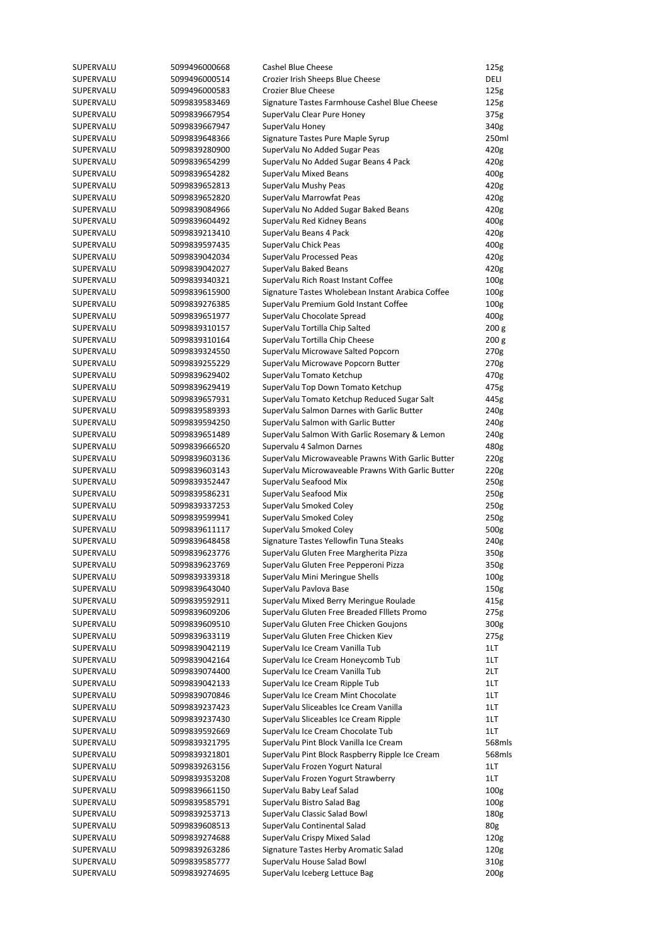| SUPERVALU | 5099496000668 | Cashel Blue Cheese                                | 125g             |
|-----------|---------------|---------------------------------------------------|------------------|
| SUPERVALU | 5099496000514 | Crozier Irish Sheeps Blue Cheese                  | DELI             |
| SUPERVALU | 5099496000583 | <b>Crozier Blue Cheese</b>                        | 125g             |
| SUPERVALU | 5099839583469 | Signature Tastes Farmhouse Cashel Blue Cheese     | 125g             |
| SUPERVALU | 5099839667954 | SuperValu Clear Pure Honey                        | 375g             |
| SUPERVALU | 5099839667947 |                                                   |                  |
|           |               | SuperValu Honey                                   | 340g             |
| SUPERVALU | 5099839648366 | Signature Tastes Pure Maple Syrup                 | 250ml            |
| SUPERVALU | 5099839280900 | SuperValu No Added Sugar Peas                     | 420g             |
| SUPERVALU | 5099839654299 | SuperValu No Added Sugar Beans 4 Pack             | 420g             |
| SUPERVALU | 5099839654282 | SuperValu Mixed Beans                             | 400g             |
| SUPERVALU | 5099839652813 | SuperValu Mushy Peas                              | 420g             |
| SUPERVALU | 5099839652820 | SuperValu Marrowfat Peas                          | 420g             |
| SUPERVALU | 5099839084966 | SuperValu No Added Sugar Baked Beans              | 420g             |
| SUPERVALU | 5099839604492 | SuperValu Red Kidney Beans                        | 400g             |
| SUPERVALU | 5099839213410 | SuperValu Beans 4 Pack                            | 420g             |
| SUPERVALU | 5099839597435 | SuperValu Chick Peas                              | 400g             |
|           |               |                                                   |                  |
| SUPERVALU | 5099839042034 | SuperValu Processed Peas                          | 420g             |
| SUPERVALU | 5099839042027 | SuperValu Baked Beans                             | 420g             |
| SUPERVALU | 5099839340321 | SuperValu Rich Roast Instant Coffee               | 100 <sub>g</sub> |
| SUPERVALU | 5099839615900 | Signature Tastes Wholebean Instant Arabica Coffee | 100 <sub>g</sub> |
| SUPERVALU | 5099839276385 | SuperValu Premium Gold Instant Coffee             | 100 <sub>g</sub> |
| SUPERVALU | 5099839651977 | SuperValu Chocolate Spread                        | 400g             |
| SUPERVALU | 5099839310157 | SuperValu Tortilla Chip Salted                    | 200 g            |
| SUPERVALU | 5099839310164 | SuperValu Tortilla Chip Cheese                    | 200 <sub>g</sub> |
| SUPERVALU | 5099839324550 | SuperValu Microwave Salted Popcorn                | 270g             |
|           | 5099839255229 |                                                   |                  |
| SUPERVALU |               | SuperValu Microwave Popcorn Butter                | 270g             |
| SUPERVALU | 5099839629402 | SuperValu Tomato Ketchup                          | 470g             |
| SUPERVALU | 5099839629419 | SuperValu Top Down Tomato Ketchup                 | 475g             |
| SUPERVALU | 5099839657931 | SuperValu Tomato Ketchup Reduced Sugar Salt       | 445g             |
| SUPERVALU | 5099839589393 | SuperValu Salmon Darnes with Garlic Butter        | 240g             |
| SUPERVALU | 5099839594250 | SuperValu Salmon with Garlic Butter               | 240g             |
| SUPERVALU | 5099839651489 | SuperValu Salmon With Garlic Rosemary & Lemon     | 240g             |
| SUPERVALU | 5099839666520 | Supervalu 4 Salmon Darnes                         | 480g             |
| SUPERVALU | 5099839603136 | SuperValu Microwaveable Prawns With Garlic Butter | 220g             |
| SUPERVALU | 5099839603143 | SuperValu Microwaveable Prawns With Garlic Butter | 220g             |
| SUPERVALU | 5099839352447 | SuperValu Seafood Mix                             | 250 <sub>g</sub> |
|           |               |                                                   |                  |
| SUPERVALU | 5099839586231 | SuperValu Seafood Mix                             | 250 <sub>g</sub> |
| SUPERVALU | 5099839337253 | SuperValu Smoked Coley                            | 250 <sub>g</sub> |
| SUPERVALU | 5099839599941 | SuperValu Smoked Coley                            | 250g             |
| SUPERVALU | 5099839611117 | SuperValu Smoked Coley                            | 500g             |
| SUPERVALU | 5099839648458 | Signature Tastes Yellowfin Tuna Steaks            | 240g             |
| SUPERVALU | 5099839623776 | SuperValu Gluten Free Margherita Pizza            | 350g             |
| SUPERVALU | 5099839623769 | SuperValu Gluten Free Pepperoni Pizza             | 350g             |
| SUPERVALU | 5099839339318 | SuperValu Mini Meringue Shells                    | 100 <sub>g</sub> |
| SUPERVALU | 5099839643040 | SuperValu Pavlova Base                            | 150g             |
| SUPERVALU | 5099839592911 | SuperValu Mixed Berry Meringue Roulade            | 415g             |
| SUPERVALU | 5099839609206 | SuperValu Gluten Free Breaded Fillets Promo       | 275g             |
|           |               |                                                   |                  |
| SUPERVALU | 5099839609510 | SuperValu Gluten Free Chicken Goujons             | 300g             |
| SUPERVALU | 5099839633119 | SuperValu Gluten Free Chicken Kiev                | 275g             |
| SUPERVALU | 5099839042119 | SuperValu Ice Cream Vanilla Tub                   | 1LT              |
| SUPERVALU | 5099839042164 | SuperValu Ice Cream Honeycomb Tub                 | 1LT              |
| SUPERVALU | 5099839074400 | SuperValu Ice Cream Vanilla Tub                   | 2LT              |
| SUPERVALU | 5099839042133 | SuperValu Ice Cream Ripple Tub                    | 1LT              |
| SUPERVALU | 5099839070846 | SuperValu Ice Cream Mint Chocolate                | 1LT              |
| SUPERVALU | 5099839237423 | SuperValu Sliceables Ice Cream Vanilla            | 1LT              |
| SUPERVALU | 5099839237430 | SuperValu Sliceables Ice Cream Ripple             | 1LT              |
| SUPERVALU | 5099839592669 | SuperValu Ice Cream Chocolate Tub                 | 1LT              |
|           |               |                                                   |                  |
| SUPERVALU | 5099839321795 | SuperValu Pint Block Vanilla Ice Cream            | 568mls           |
| SUPERVALU | 5099839321801 | SuperValu Pint Block Raspberry Ripple Ice Cream   | 568mls           |
| SUPERVALU | 5099839263156 | SuperValu Frozen Yogurt Natural                   | 1LT              |
| SUPERVALU | 5099839353208 | SuperValu Frozen Yogurt Strawberry                | 1LT              |
| SUPERVALU | 5099839661150 | SuperValu Baby Leaf Salad                         | 100 <sub>g</sub> |
| SUPERVALU | 5099839585791 | SuperValu Bistro Salad Bag                        | 100 <sub>g</sub> |
| SUPERVALU | 5099839253713 | SuperValu Classic Salad Bowl                      | 180g             |
| SUPERVALU | 5099839608513 | SuperValu Continental Salad                       | 80g              |
| SUPERVALU | 5099839274688 | SuperValu Crispy Mixed Salad                      | 120g             |
| SUPERVALU | 5099839263286 | Signature Tastes Herby Aromatic Salad             | 120 <sub>g</sub> |
|           |               |                                                   |                  |
| SUPERVALU | 5099839585777 | SuperValu House Salad Bowl                        | 310g             |
| SUPERVALU | 5099839274695 | SuperValu Iceberg Lettuce Bag                     | 200 <sub>g</sub> |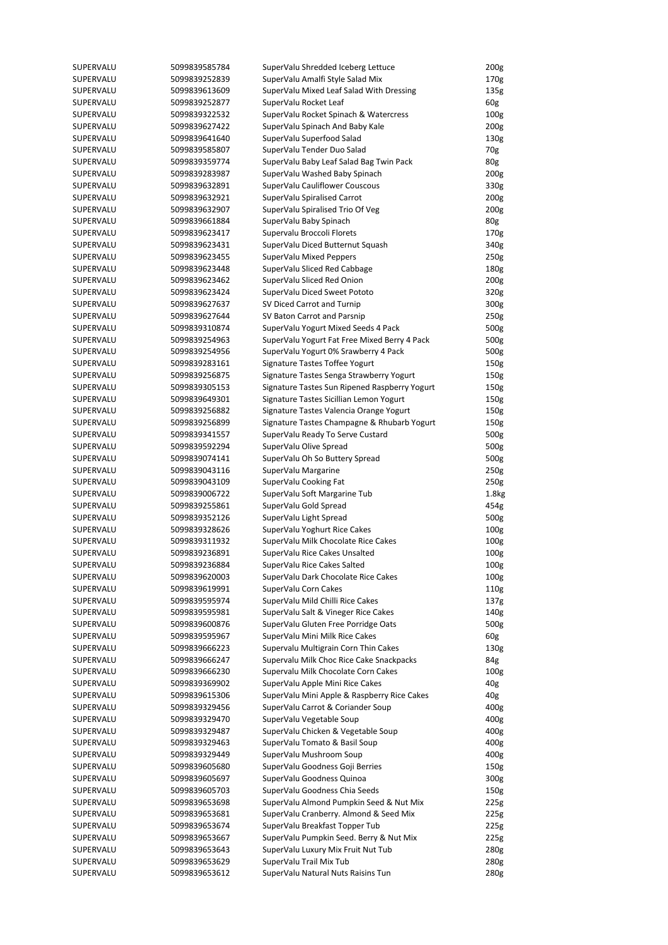| SUPERVALU | 5099839585784 | SuperValu Shredded Iceberg Lettuce            | 200g              |
|-----------|---------------|-----------------------------------------------|-------------------|
| SUPERVALU | 5099839252839 | SuperValu Amalfi Style Salad Mix              | 170g              |
| SUPERVALU | 5099839613609 | SuperValu Mixed Leaf Salad With Dressing      | 135 <sub>g</sub>  |
| SUPERVALU | 5099839252877 | SuperValu Rocket Leaf                         | 60g               |
| SUPERVALU | 5099839322532 | SuperValu Rocket Spinach & Watercress         | 100 <sub>g</sub>  |
| SUPERVALU | 5099839627422 | SuperValu Spinach And Baby Kale               | 200 <sub>g</sub>  |
|           |               |                                               |                   |
| SUPERVALU | 5099839641640 | SuperValu Superfood Salad                     | 130g              |
| SUPERVALU | 5099839585807 | SuperValu Tender Duo Salad                    | 70g               |
| SUPERVALU | 5099839359774 | SuperValu Baby Leaf Salad Bag Twin Pack       | 80g               |
| SUPERVALU | 5099839283987 | SuperValu Washed Baby Spinach                 | 200 <sub>g</sub>  |
| SUPERVALU | 5099839632891 | SuperValu Cauliflower Couscous                | 330g              |
| SUPERVALU | 5099839632921 | SuperValu Spiralised Carrot                   | 200 <sub>g</sub>  |
| SUPERVALU | 5099839632907 | SuperValu Spiralised Trio Of Veg              | 200 <sub>g</sub>  |
| SUPERVALU | 5099839661884 | SuperValu Baby Spinach                        | 80g               |
| SUPERVALU | 5099839623417 | Supervalu Broccoli Florets                    | 170g              |
|           | 5099839623431 |                                               |                   |
| SUPERVALU |               | SuperValu Diced Butternut Squash              | 340g              |
| SUPERVALU | 5099839623455 | SuperValu Mixed Peppers                       | 250 <sub>g</sub>  |
| SUPERVALU | 5099839623448 | SuperValu Sliced Red Cabbage                  | 180g              |
| SUPERVALU | 5099839623462 | SuperValu Sliced Red Onion                    | 200 <sub>g</sub>  |
| SUPERVALU | 5099839623424 | SuperValu Diced Sweet Pototo                  | 320g              |
| SUPERVALU | 5099839627637 | SV Diced Carrot and Turnip                    | 300g              |
| SUPERVALU | 5099839627644 | SV Baton Carrot and Parsnip                   | 250 <sub>g</sub>  |
| SUPERVALU | 5099839310874 | SuperValu Yogurt Mixed Seeds 4 Pack           | 500g              |
| SUPERVALU | 5099839254963 | SuperValu Yogurt Fat Free Mixed Berry 4 Pack  | 500g              |
| SUPERVALU | 5099839254956 | SuperValu Yogurt 0% Srawberry 4 Pack          | 500g              |
|           |               |                                               |                   |
| SUPERVALU | 5099839283161 | Signature Tastes Toffee Yogurt                | 150 <sub>g</sub>  |
| SUPERVALU | 5099839256875 | Signature Tastes Senga Strawberry Yogurt      | 150 <sub>g</sub>  |
| SUPERVALU | 5099839305153 | Signature Tastes Sun Ripened Raspberry Yogurt | 150g              |
| SUPERVALU | 5099839649301 | Signature Tastes Sicillian Lemon Yogurt       | 150 <sub>g</sub>  |
| SUPERVALU | 5099839256882 | Signature Tastes Valencia Orange Yogurt       | 150 <sub>g</sub>  |
| SUPERVALU | 5099839256899 | Signature Tastes Champagne & Rhubarb Yogurt   | 150 <sub>g</sub>  |
| SUPERVALU | 5099839341557 | SuperValu Ready To Serve Custard              | 500g              |
| SUPERVALU | 5099839592294 | SuperValu Olive Spread                        | 500g              |
| SUPERVALU | 5099839074141 | SuperValu Oh So Buttery Spread                | 500g              |
| SUPERVALU | 5099839043116 | SuperValu Margarine                           | 250 <sub>g</sub>  |
| SUPERVALU | 5099839043109 | SuperValu Cooking Fat                         | 250 <sub>g</sub>  |
|           |               |                                               |                   |
| SUPERVALU | 5099839006722 | SuperValu Soft Margarine Tub                  | 1.8 <sub>kg</sub> |
| SUPERVALU | 5099839255861 | SuperValu Gold Spread                         | 454g              |
| SUPERVALU | 5099839352126 | SuperValu Light Spread                        | 500g              |
| SUPERVALU | 5099839328626 | SuperValu Yoghurt Rice Cakes                  | 100 <sub>g</sub>  |
| SUPERVALU | 5099839311932 | SuperValu Milk Chocolate Rice Cakes           | 100 <sub>g</sub>  |
| SUPERVALU | 5099839236891 | SuperValu Rice Cakes Unsalted                 | 100 <sub>g</sub>  |
| SUPERVALU | 5099839236884 | SuperValu Rice Cakes Salted                   | 100 <sub>g</sub>  |
| SUPERVALU | 5099839620003 | SuperValu Dark Chocolate Rice Cakes           | 100 <sub>g</sub>  |
| SUPERVALU | 5099839619991 | SuperValu Corn Cakes                          | 110g              |
| SUPERVALU | 5099839595974 | SuperValu Mild Chilli Rice Cakes              | 137g              |
|           |               |                                               |                   |
| SUPERVALU | 5099839595981 | SuperValu Salt & Vineger Rice Cakes           | 140g              |
| SUPERVALU | 5099839600876 | SuperValu Gluten Free Porridge Oats           | 500g              |
| SUPERVALU | 5099839595967 | SuperValu Mini Milk Rice Cakes                | 60g               |
| SUPERVALU | 5099839666223 | Supervalu Multigrain Corn Thin Cakes          | 130 <sub>g</sub>  |
| SUPERVALU | 5099839666247 | Supervalu Milk Choc Rice Cake Snackpacks      | 84g               |
| SUPERVALU | 5099839666230 | Supervalu Milk Chocolate Corn Cakes           | 100 <sub>g</sub>  |
| SUPERVALU | 5099839369902 | SuperValu Apple Mini Rice Cakes               | 40g               |
| SUPERVALU | 5099839615306 | SuperValu Mini Apple & Raspberry Rice Cakes   | 40g               |
| SUPERVALU | 5099839329456 | SuperValu Carrot & Coriander Soup             | 400g              |
| SUPERVALU | 5099839329470 | SuperValu Vegetable Soup                      | 400g              |
|           |               |                                               |                   |
| SUPERVALU | 5099839329487 | SuperValu Chicken & Vegetable Soup            | 400g              |
| SUPERVALU | 5099839329463 | SuperValu Tomato & Basil Soup                 | 400g              |
| SUPERVALU | 5099839329449 | SuperValu Mushroom Soup                       | 400g              |
| SUPERVALU | 5099839605680 | SuperValu Goodness Goji Berries               | 150 <sub>g</sub>  |
| SUPERVALU | 5099839605697 | SuperValu Goodness Quinoa                     | 300g              |
| SUPERVALU | 5099839605703 | SuperValu Goodness Chia Seeds                 | 150g              |
| SUPERVALU | 5099839653698 | SuperValu Almond Pumpkin Seed & Nut Mix       | 225g              |
| SUPERVALU | 5099839653681 | SuperValu Cranberry. Almond & Seed Mix        | 225g              |
| SUPERVALU | 5099839653674 | SuperValu Breakfast Topper Tub                | 225g              |
| SUPERVALU | 5099839653667 | SuperValu Pumpkin Seed. Berry & Nut Mix       | 225g              |
|           |               |                                               |                   |
| SUPERVALU | 5099839653643 | SuperValu Luxury Mix Fruit Nut Tub            | 280g              |
| SUPERVALU | 5099839653629 | SuperValu Trail Mix Tub                       | 280g              |
| SUPERVALU | 5099839653612 | SuperValu Natural Nuts Raisins Tun            | 280g              |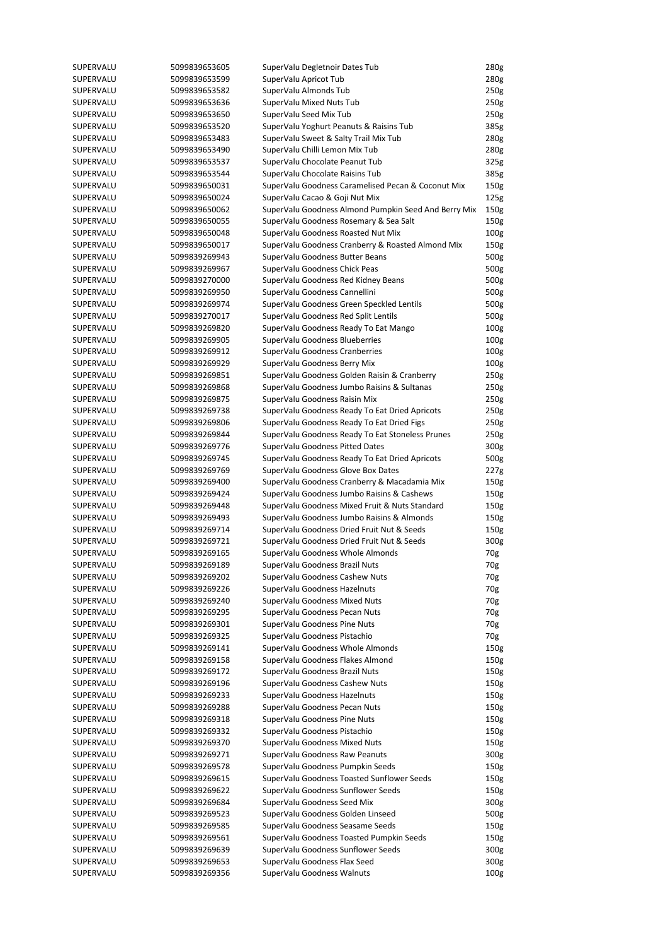| SUPERVALU | 5099839653605 | SuperValu Degletnoir Dates Tub                       | 280g             |
|-----------|---------------|------------------------------------------------------|------------------|
| SUPERVALU | 5099839653599 | SuperValu Apricot Tub                                | 280g             |
| SUPERVALU | 5099839653582 | SuperValu Almonds Tub                                | 250 <sub>g</sub> |
| SUPERVALU | 5099839653636 | SuperValu Mixed Nuts Tub                             | 250g             |
| SUPERVALU | 5099839653650 | SuperValu Seed Mix Tub                               | 250 <sub>g</sub> |
| SUPERVALU | 5099839653520 | SuperValu Yoghurt Peanuts & Raisins Tub              | 385g             |
| SUPERVALU |               |                                                      |                  |
|           | 5099839653483 | SuperValu Sweet & Salty Trail Mix Tub                | 280g             |
| SUPERVALU | 5099839653490 | SuperValu Chilli Lemon Mix Tub                       | 280g             |
| SUPERVALU | 5099839653537 | SuperValu Chocolate Peanut Tub                       | 325g             |
| SUPERVALU | 5099839653544 | SuperValu Chocolate Raisins Tub                      | 385g             |
| SUPERVALU | 5099839650031 | SuperValu Goodness Caramelised Pecan & Coconut Mix   | 150 <sub>g</sub> |
| SUPERVALU | 5099839650024 | SuperValu Cacao & Goji Nut Mix                       | 125g             |
| SUPERVALU | 5099839650062 | SuperValu Goodness Almond Pumpkin Seed And Berry Mix | 150 <sub>g</sub> |
| SUPERVALU | 5099839650055 | SuperValu Goodness Rosemary & Sea Salt               | 150 <sub>g</sub> |
| SUPERVALU | 5099839650048 | SuperValu Goodness Roasted Nut Mix                   | 100 <sub>g</sub> |
| SUPERVALU | 5099839650017 | SuperValu Goodness Cranberry & Roasted Almond Mix    | 150g             |
|           |               |                                                      |                  |
| SUPERVALU | 5099839269943 | SuperValu Goodness Butter Beans                      | 500g             |
| SUPERVALU | 5099839269967 | SuperValu Goodness Chick Peas                        | 500g             |
| SUPERVALU | 5099839270000 | SuperValu Goodness Red Kidney Beans                  | 500g             |
| SUPERVALU | 5099839269950 | SuperValu Goodness Cannellini                        | 500g             |
| SUPERVALU | 5099839269974 | SuperValu Goodness Green Speckled Lentils            | 500g             |
| SUPERVALU | 5099839270017 | SuperValu Goodness Red Split Lentils                 | 500g             |
| SUPERVALU | 5099839269820 | SuperValu Goodness Ready To Eat Mango                | 100 <sub>g</sub> |
| SUPERVALU | 5099839269905 | SuperValu Goodness Blueberries                       | 100 <sub>g</sub> |
| SUPERVALU | 5099839269912 | SuperValu Goodness Cranberries                       | 100 <sub>g</sub> |
|           |               |                                                      |                  |
| SUPERVALU | 5099839269929 | SuperValu Goodness Berry Mix                         | 100 <sub>g</sub> |
| SUPERVALU | 5099839269851 | SuperValu Goodness Golden Raisin & Cranberry         | 250 <sub>g</sub> |
| SUPERVALU | 5099839269868 | SuperValu Goodness Jumbo Raisins & Sultanas          | 250 <sub>g</sub> |
| SUPERVALU | 5099839269875 | SuperValu Goodness Raisin Mix                        | 250 <sub>g</sub> |
| SUPERVALU | 5099839269738 | SuperValu Goodness Ready To Eat Dried Apricots       | 250 <sub>g</sub> |
| SUPERVALU | 5099839269806 | SuperValu Goodness Ready To Eat Dried Figs           | 250 <sub>g</sub> |
| SUPERVALU | 5099839269844 | SuperValu Goodness Ready To Eat Stoneless Prunes     | 250 <sub>g</sub> |
| SUPERVALU | 5099839269776 | SuperValu Goodness Pitted Dates                      | 300g             |
| SUPERVALU | 5099839269745 | SuperValu Goodness Ready To Eat Dried Apricots       | 500g             |
| SUPERVALU | 5099839269769 | SuperValu Goodness Glove Box Dates                   | 227g             |
|           |               |                                                      |                  |
| SUPERVALU | 5099839269400 | SuperValu Goodness Cranberry & Macadamia Mix         | 150 <sub>g</sub> |
| SUPERVALU | 5099839269424 | SuperValu Goodness Jumbo Raisins & Cashews           | 150 <sub>g</sub> |
| SUPERVALU | 5099839269448 | SuperValu Goodness Mixed Fruit & Nuts Standard       | 150 <sub>g</sub> |
| SUPERVALU | 5099839269493 | SuperValu Goodness Jumbo Raisins & Almonds           | 150g             |
| SUPERVALU | 5099839269714 | SuperValu Goodness Dried Fruit Nut & Seeds           | 150 <sub>g</sub> |
| SUPERVALU | 5099839269721 | SuperValu Goodness Dried Fruit Nut & Seeds           | 300g             |
| SUPERVALU | 5099839269165 | SuperValu Goodness Whole Almonds                     | 70g              |
| SUPERVALU | 5099839269189 | SuperValu Goodness Brazil Nuts                       | 70g              |
| SUPERVALU | 5099839269202 | SuperValu Goodness Cashew Nuts                       | 70g              |
| SUPERVALU | 5099839269226 | SuperValu Goodness Hazelnuts                         | 70g              |
|           |               |                                                      |                  |
| SUPERVALU | 5099839269240 | SuperValu Goodness Mixed Nuts                        | 70g              |
| SUPERVALU | 5099839269295 | SuperValu Goodness Pecan Nuts                        | 70g              |
| SUPERVALU | 5099839269301 | SuperValu Goodness Pine Nuts                         | 70g              |
| SUPERVALU | 5099839269325 | SuperValu Goodness Pistachio                         | 70g              |
| SUPERVALU | 5099839269141 | SuperValu Goodness Whole Almonds                     | 150 <sub>g</sub> |
| SUPERVALU | 5099839269158 | SuperValu Goodness Flakes Almond                     | 150 <sub>g</sub> |
| SUPERVALU | 5099839269172 | SuperValu Goodness Brazil Nuts                       | 150 <sub>g</sub> |
| SUPERVALU | 5099839269196 | SuperValu Goodness Cashew Nuts                       | 150g             |
| SUPERVALU | 5099839269233 | SuperValu Goodness Hazelnuts                         | 150 <sub>g</sub> |
| SUPERVALU | 5099839269288 | SuperValu Goodness Pecan Nuts                        | 150 <sub>g</sub> |
| SUPERVALU | 5099839269318 | SuperValu Goodness Pine Nuts                         | 150 <sub>g</sub> |
|           |               |                                                      |                  |
| SUPERVALU | 5099839269332 | SuperValu Goodness Pistachio                         | 150 <sub>g</sub> |
| SUPERVALU | 5099839269370 | SuperValu Goodness Mixed Nuts                        | 150 <sub>g</sub> |
| SUPERVALU | 5099839269271 | SuperValu Goodness Raw Peanuts                       | 300g             |
| SUPERVALU | 5099839269578 | SuperValu Goodness Pumpkin Seeds                     | 150 <sub>g</sub> |
| SUPERVALU | 5099839269615 | SuperValu Goodness Toasted Sunflower Seeds           | 150g             |
| SUPERVALU | 5099839269622 | SuperValu Goodness Sunflower Seeds                   | 150g             |
| SUPERVALU | 5099839269684 | SuperValu Goodness Seed Mix                          | 300g             |
| SUPERVALU | 5099839269523 | SuperValu Goodness Golden Linseed                    | 500g             |
| SUPERVALU | 5099839269585 | SuperValu Goodness Seasame Seeds                     | 150 <sub>g</sub> |
| SUPERVALU | 5099839269561 | SuperValu Goodness Toasted Pumpkin Seeds             | 150g             |
|           |               | SuperValu Goodness Sunflower Seeds                   | 300g             |
| SUPERVALU | 5099839269639 |                                                      |                  |
| SUPERVALU | 5099839269653 | SuperValu Goodness Flax Seed                         | 300g             |
| SUPERVALU | 5099839269356 | SuperValu Goodness Walnuts                           | 100 <sub>g</sub> |